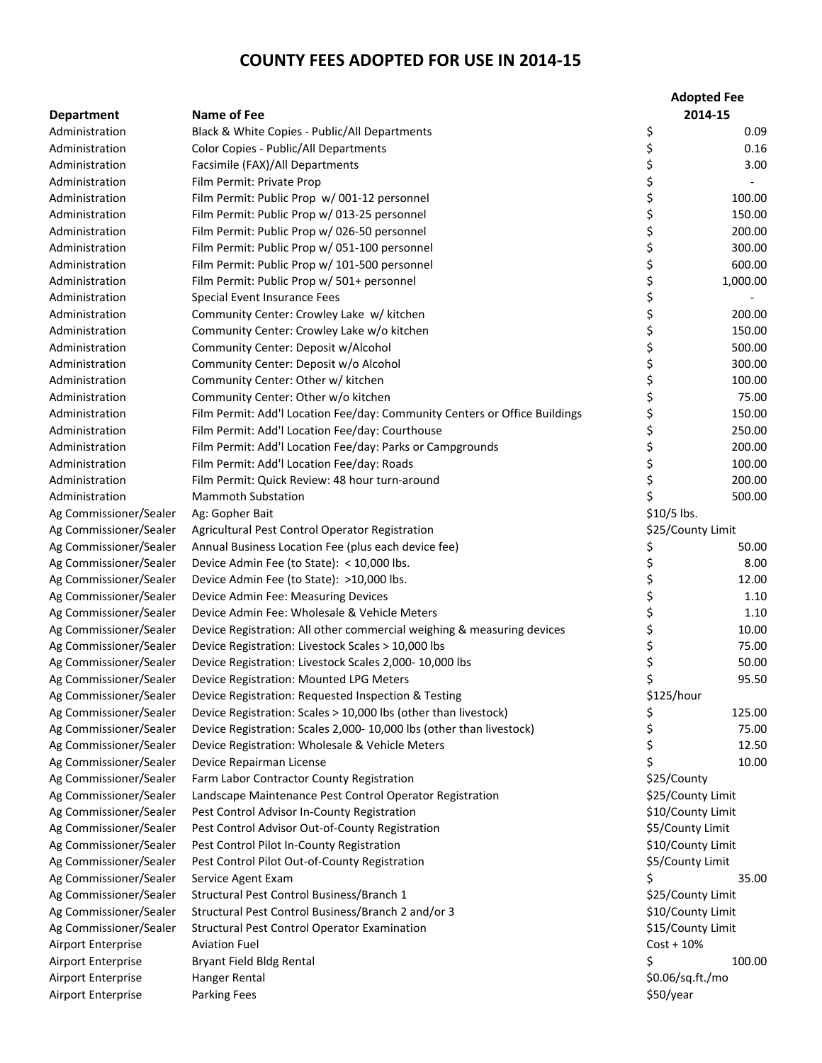|                        |                                                                            |                  | <b>Adopted Fee</b> |
|------------------------|----------------------------------------------------------------------------|------------------|--------------------|
| <b>Department</b>      | <b>Name of Fee</b>                                                         |                  | 2014-15            |
| Administration         | Black & White Copies - Public/All Departments                              | \$               | 0.09               |
| Administration         | Color Copies - Public/All Departments                                      | \$               | 0.16               |
| Administration         | Facsimile (FAX)/All Departments                                            | \$               | 3.00               |
| Administration         | Film Permit: Private Prop                                                  | \$               |                    |
| Administration         | Film Permit: Public Prop w/001-12 personnel                                | \$               | 100.00             |
| Administration         | Film Permit: Public Prop w/ 013-25 personnel                               | \$               | 150.00             |
| Administration         | Film Permit: Public Prop w/ 026-50 personnel                               | \$               | 200.00             |
| Administration         | Film Permit: Public Prop w/ 051-100 personnel                              | \$               | 300.00             |
| Administration         | Film Permit: Public Prop w/ 101-500 personnel                              | \$               | 600.00             |
| Administration         | Film Permit: Public Prop w/ 501+ personnel                                 | \$               | 1,000.00           |
| Administration         | Special Event Insurance Fees                                               | \$               |                    |
| Administration         | Community Center: Crowley Lake w/ kitchen                                  | \$               | 200.00             |
| Administration         | Community Center: Crowley Lake w/o kitchen                                 | \$               | 150.00             |
| Administration         | Community Center: Deposit w/Alcohol                                        | \$\$\$           | 500.00             |
| Administration         | Community Center: Deposit w/o Alcohol                                      |                  | 300.00             |
| Administration         | Community Center: Other w/ kitchen                                         |                  | 100.00             |
| Administration         | Community Center: Other w/o kitchen                                        | \$               | 75.00              |
| Administration         | Film Permit: Add'I Location Fee/day: Community Centers or Office Buildings | \$               | 150.00             |
| Administration         | Film Permit: Add'l Location Fee/day: Courthouse                            | \$               | 250.00             |
| Administration         | Film Permit: Add'I Location Fee/day: Parks or Campgrounds                  | \$               | 200.00             |
| Administration         | Film Permit: Add'l Location Fee/day: Roads                                 | \$               | 100.00             |
| Administration         | Film Permit: Quick Review: 48 hour turn-around                             | \$               | 200.00             |
| Administration         | <b>Mammoth Substation</b>                                                  | \$               | 500.00             |
| Ag Commissioner/Sealer | Ag: Gopher Bait                                                            | \$10/5 lbs.      |                    |
| Ag Commissioner/Sealer | Agricultural Pest Control Operator Registration                            |                  | \$25/County Limit  |
| Ag Commissioner/Sealer | Annual Business Location Fee (plus each device fee)                        | \$               | 50.00              |
| Ag Commissioner/Sealer | Device Admin Fee (to State): < 10,000 lbs.                                 | \$               | 8.00               |
| Ag Commissioner/Sealer | Device Admin Fee (to State): >10,000 lbs.                                  | \$               | 12.00              |
| Ag Commissioner/Sealer | Device Admin Fee: Measuring Devices                                        | \$               | 1.10               |
| Ag Commissioner/Sealer | Device Admin Fee: Wholesale & Vehicle Meters                               | \$               | 1.10               |
| Ag Commissioner/Sealer | Device Registration: All other commercial weighing & measuring devices     | \$               | 10.00              |
| Ag Commissioner/Sealer | Device Registration: Livestock Scales > 10,000 lbs                         | \$               | 75.00              |
| Ag Commissioner/Sealer | Device Registration: Livestock Scales 2,000-10,000 lbs                     | \$               | 50.00              |
| Ag Commissioner/Sealer | Device Registration: Mounted LPG Meters                                    | \$               | 95.50              |
| Ag Commissioner/Sealer | Device Registration: Requested Inspection & Testing                        | \$125/hour       |                    |
| Ag Commissioner/Sealer | Device Registration: Scales > 10,000 lbs (other than livestock)            | \$               | 125.00             |
| Ag Commissioner/Sealer | Device Registration: Scales 2,000-10,000 lbs (other than livestock)        | \$               | 75.00              |
| Ag Commissioner/Sealer | Device Registration: Wholesale & Vehicle Meters                            | \$               | 12.50              |
| Ag Commissioner/Sealer | Device Repairman License                                                   | \$               | 10.00              |
| Ag Commissioner/Sealer | Farm Labor Contractor County Registration                                  | \$25/County      |                    |
| Ag Commissioner/Sealer | Landscape Maintenance Pest Control Operator Registration                   |                  | \$25/County Limit  |
| Ag Commissioner/Sealer | Pest Control Advisor In-County Registration                                |                  | \$10/County Limit  |
| Ag Commissioner/Sealer | Pest Control Advisor Out-of-County Registration                            | \$5/County Limit |                    |
| Ag Commissioner/Sealer | Pest Control Pilot In-County Registration                                  |                  | \$10/County Limit  |
| Ag Commissioner/Sealer | Pest Control Pilot Out-of-County Registration                              | \$5/County Limit |                    |
| Ag Commissioner/Sealer | Service Agent Exam                                                         | Ś                | 35.00              |
| Ag Commissioner/Sealer | Structural Pest Control Business/Branch 1                                  |                  | \$25/County Limit  |
| Ag Commissioner/Sealer | Structural Pest Control Business/Branch 2 and/or 3                         |                  | \$10/County Limit  |
| Ag Commissioner/Sealer | <b>Structural Pest Control Operator Examination</b>                        |                  | \$15/County Limit  |
| Airport Enterprise     | <b>Aviation Fuel</b>                                                       | $Cost + 10%$     |                    |
| Airport Enterprise     | Bryant Field Bldg Rental                                                   | \$               | 100.00             |
| Airport Enterprise     | Hanger Rental                                                              | \$0.06/sq.ft./mo |                    |
| Airport Enterprise     | <b>Parking Fees</b>                                                        | \$50/year        |                    |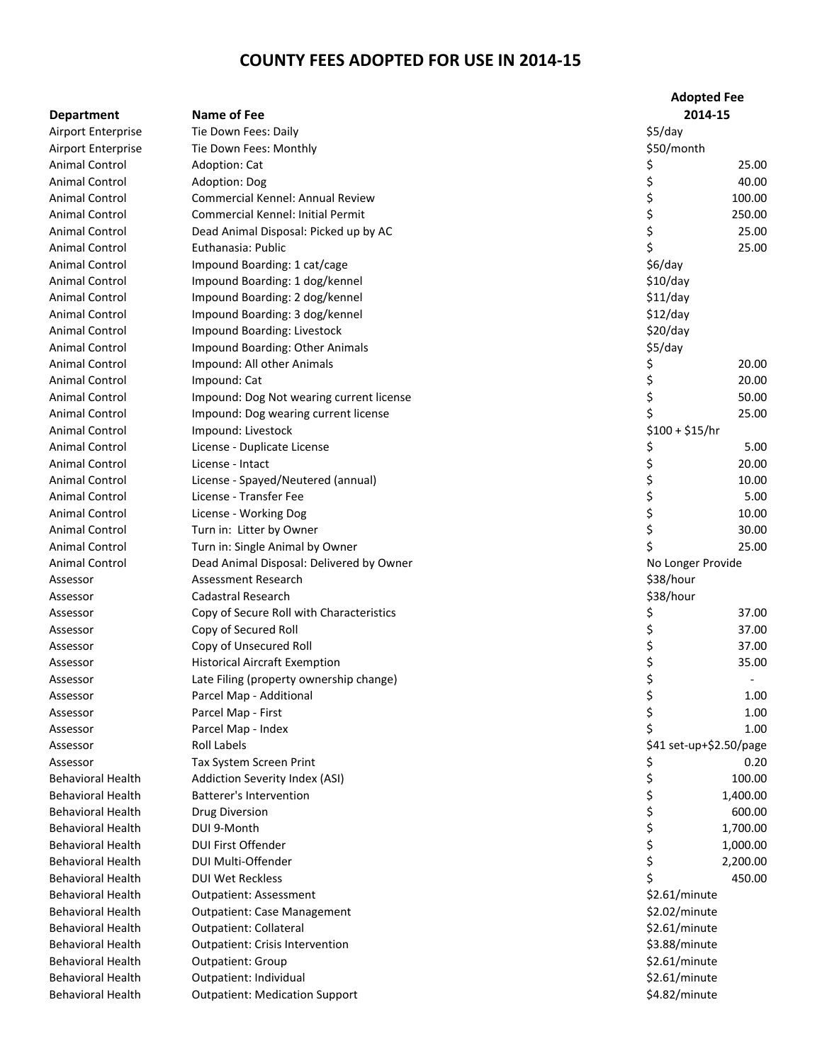|                          |                                          | <b>Adopted Fee</b>      |
|--------------------------|------------------------------------------|-------------------------|
| <b>Department</b>        | Name of Fee                              | 2014-15                 |
| Airport Enterprise       | Tie Down Fees: Daily                     | \$5/day                 |
| Airport Enterprise       | Tie Down Fees: Monthly                   | \$50/month              |
| <b>Animal Control</b>    | Adoption: Cat                            | 25.00<br>Ş              |
| <b>Animal Control</b>    | Adoption: Dog                            | \$<br>40.00             |
| Animal Control           | <b>Commercial Kennel: Annual Review</b>  | \$<br>100.00            |
| <b>Animal Control</b>    | Commercial Kennel: Initial Permit        | \$<br>250.00            |
| <b>Animal Control</b>    | Dead Animal Disposal: Picked up by AC    | \$<br>25.00             |
| Animal Control           | Euthanasia: Public                       | \$<br>25.00             |
| <b>Animal Control</b>    | Impound Boarding: 1 cat/cage             | $$6$ /day               |
| <b>Animal Control</b>    | Impound Boarding: 1 dog/kennel           | \$10/day                |
| Animal Control           | Impound Boarding: 2 dog/kennel           | \$11/day                |
| Animal Control           | Impound Boarding: 3 dog/kennel           | \$12/day                |
| Animal Control           | Impound Boarding: Livestock              | \$20/day                |
| Animal Control           | Impound Boarding: Other Animals          | \$5/day                 |
| Animal Control           | Impound: All other Animals               | Ş<br>20.00              |
| Animal Control           | Impound: Cat                             | \$<br>20.00             |
| <b>Animal Control</b>    | Impound: Dog Not wearing current license | \$<br>50.00             |
| Animal Control           | Impound: Dog wearing current license     | 25.00                   |
| Animal Control           | Impound: Livestock                       | $$100 + $15/hr$         |
| Animal Control           | License - Duplicate License              | \$<br>5.00              |
| <b>Animal Control</b>    | License - Intact                         | \$<br>20.00             |
| Animal Control           | License - Spayed/Neutered (annual)       | \$<br>10.00             |
| Animal Control           | License - Transfer Fee                   | \$<br>5.00              |
| <b>Animal Control</b>    | License - Working Dog                    | \$<br>10.00             |
| Animal Control           | Turn in: Litter by Owner                 | \$<br>30.00             |
| <b>Animal Control</b>    | Turn in: Single Animal by Owner          | 25.00                   |
| Animal Control           | Dead Animal Disposal: Delivered by Owner | No Longer Provide       |
| Assessor                 | Assessment Research                      | \$38/hour               |
| Assessor                 | <b>Cadastral Research</b>                | \$38/hour               |
| Assessor                 | Copy of Secure Roll with Characteristics | \$<br>37.00             |
| Assessor                 | Copy of Secured Roll                     | \$<br>37.00             |
| Assessor                 | Copy of Unsecured Roll                   | \$<br>37.00             |
| Assessor                 | <b>Historical Aircraft Exemption</b>     | \$<br>35.00             |
| Assessor                 | Late Filing (property ownership change)  | \$                      |
| Assessor                 | Parcel Map - Additional                  | \$<br>1.00              |
| Assessor                 | Parcel Map - First                       | \$<br>1.00              |
| Assessor                 | Parcel Map - Index                       | 1.00                    |
| Assessor                 | <b>Roll Labels</b>                       | \$41 set-up+\$2.50/page |
| Assessor                 | Tax System Screen Print                  | 0.20<br>Ş               |
| <b>Behavioral Health</b> | Addiction Severity Index (ASI)           | \$<br>100.00            |
| <b>Behavioral Health</b> | <b>Batterer's Intervention</b>           | \$<br>1,400.00          |
| <b>Behavioral Health</b> | <b>Drug Diversion</b>                    | \$<br>600.00            |
| <b>Behavioral Health</b> | DUI 9-Month                              | \$<br>1,700.00          |
| <b>Behavioral Health</b> | <b>DUI First Offender</b>                | \$<br>1,000.00          |
| <b>Behavioral Health</b> | DUI Multi-Offender                       | \$<br>2,200.00          |
| <b>Behavioral Health</b> | <b>DUI Wet Reckless</b>                  | \$<br>450.00            |
| <b>Behavioral Health</b> | <b>Outpatient: Assessment</b>            | \$2.61/minute           |
| <b>Behavioral Health</b> | <b>Outpatient: Case Management</b>       | \$2.02/minute           |
| <b>Behavioral Health</b> | <b>Outpatient: Collateral</b>            | \$2.61/minute           |
| <b>Behavioral Health</b> | <b>Outpatient: Crisis Intervention</b>   | \$3.88/minute           |
| <b>Behavioral Health</b> | <b>Outpatient: Group</b>                 | \$2.61/minute           |
| <b>Behavioral Health</b> | Outpatient: Individual                   | \$2.61/minute           |
| <b>Behavioral Health</b> | <b>Outpatient: Medication Support</b>    | \$4.82/minute           |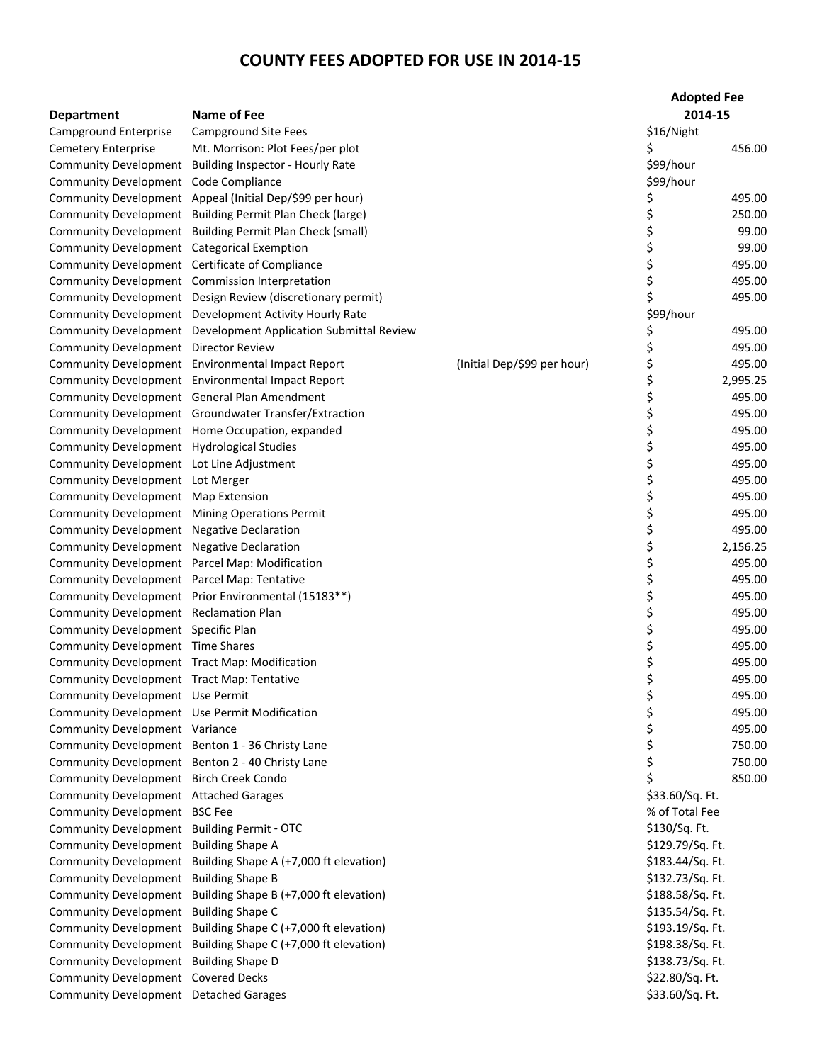| <b>Department</b>                             | Name of Fee                                                    |                             | <b>Adopted Fee</b><br>2014-15 |          |
|-----------------------------------------------|----------------------------------------------------------------|-----------------------------|-------------------------------|----------|
| Campground Enterprise                         | <b>Campground Site Fees</b>                                    |                             | \$16/Night                    |          |
| Cemetery Enterprise                           | Mt. Morrison: Plot Fees/per plot                               |                             | Ś                             | 456.00   |
|                                               | Community Development Building Inspector - Hourly Rate         |                             | \$99/hour                     |          |
| Community Development Code Compliance         |                                                                |                             | \$99/hour                     |          |
|                                               | Community Development Appeal (Initial Dep/\$99 per hour)       |                             | \$                            | 495.00   |
|                                               | Community Development Building Permit Plan Check (large)       |                             | \$                            | 250.00   |
|                                               | Community Development Building Permit Plan Check (small)       |                             | \$                            | 99.00    |
| Community Development Categorical Exemption   |                                                                |                             | \$                            | 99.00    |
|                                               | Community Development Certificate of Compliance                |                             | \$                            | 495.00   |
|                                               | Community Development Commission Interpretation                |                             | \$                            | 495.00   |
|                                               | Community Development Design Review (discretionary permit)     |                             | \$                            | 495.00   |
|                                               | Community Development Development Activity Hourly Rate         |                             | \$99/hour                     |          |
|                                               | Community Development Development Application Submittal Review |                             | \$                            | 495.00   |
| Community Development Director Review         |                                                                |                             | \$                            | 495.00   |
|                                               | Community Development Environmental Impact Report              | (Initial Dep/\$99 per hour) | \$                            | 495.00   |
|                                               | Community Development Environmental Impact Report              |                             | \$                            | 2,995.25 |
|                                               | Community Development General Plan Amendment                   |                             | \$                            | 495.00   |
|                                               | Community Development Groundwater Transfer/Extraction          |                             | \$                            | 495.00   |
|                                               | Community Development Home Occupation, expanded                |                             | \$                            | 495.00   |
| Community Development Hydrological Studies    |                                                                |                             | \$                            | 495.00   |
| Community Development Lot Line Adjustment     |                                                                |                             | \$                            | 495.00   |
| Community Development Lot Merger              |                                                                |                             | \$                            | 495.00   |
| Community Development Map Extension           |                                                                |                             | \$                            | 495.00   |
|                                               | Community Development Mining Operations Permit                 |                             | \$                            | 495.00   |
| Community Development Negative Declaration    |                                                                |                             | \$                            | 495.00   |
| Community Development Negative Declaration    |                                                                |                             | \$                            | 2,156.25 |
|                                               | Community Development Parcel Map: Modification                 |                             | \$                            | 495.00   |
| Community Development Parcel Map: Tentative   |                                                                |                             |                               | 495.00   |
|                                               | Community Development Prior Environmental (15183**)            |                             |                               | 495.00   |
| Community Development Reclamation Plan        |                                                                |                             |                               | 495.00   |
| Community Development Specific Plan           |                                                                |                             | \$\$\$\$\$\$                  | 495.00   |
| Community Development Time Shares             |                                                                |                             |                               | 495.00   |
| Community Development Tract Map: Modification |                                                                |                             |                               | 495.00   |
| Community Development Tract Map: Tentative    |                                                                |                             | \$                            | 495.00   |
| Community Development Use Permit              |                                                                |                             | \$                            | 495.00   |
| Community Development Use Permit Modification |                                                                |                             |                               | 495.00   |
| Community Development Variance                |                                                                |                             | \$                            | 495.00   |
|                                               | Community Development Benton 1 - 36 Christy Lane               |                             | \$                            | 750.00   |
|                                               | Community Development Benton 2 - 40 Christy Lane               |                             | \$                            | 750.00   |
| Community Development Birch Creek Condo       |                                                                |                             | Ś.                            | 850.00   |
| Community Development Attached Garages        |                                                                |                             | \$33.60/Sq. Ft.               |          |
| Community Development BSC Fee                 |                                                                |                             | % of Total Fee                |          |
| Community Development Building Permit - OTC   |                                                                |                             | \$130/Sq. Ft.                 |          |
| Community Development Building Shape A        |                                                                |                             | \$129.79/Sq. Ft.              |          |
|                                               | Community Development Building Shape A (+7,000 ft elevation)   |                             | \$183.44/Sq. Ft.              |          |
| Community Development Building Shape B        |                                                                |                             | \$132.73/Sq. Ft.              |          |
|                                               | Community Development Building Shape B (+7,000 ft elevation)   |                             | \$188.58/Sq. Ft.              |          |
| Community Development Building Shape C        |                                                                |                             | \$135.54/Sq. Ft.              |          |
|                                               | Community Development Building Shape C (+7,000 ft elevation)   |                             | \$193.19/Sq. Ft.              |          |
|                                               | Community Development Building Shape C (+7,000 ft elevation)   |                             | \$198.38/Sq. Ft.              |          |
| Community Development Building Shape D        |                                                                |                             | \$138.73/Sq. Ft.              |          |
| Community Development Covered Decks           |                                                                |                             | \$22.80/Sq. Ft.               |          |
| Community Development Detached Garages        |                                                                |                             | \$33.60/Sq. Ft.               |          |
|                                               |                                                                |                             |                               |          |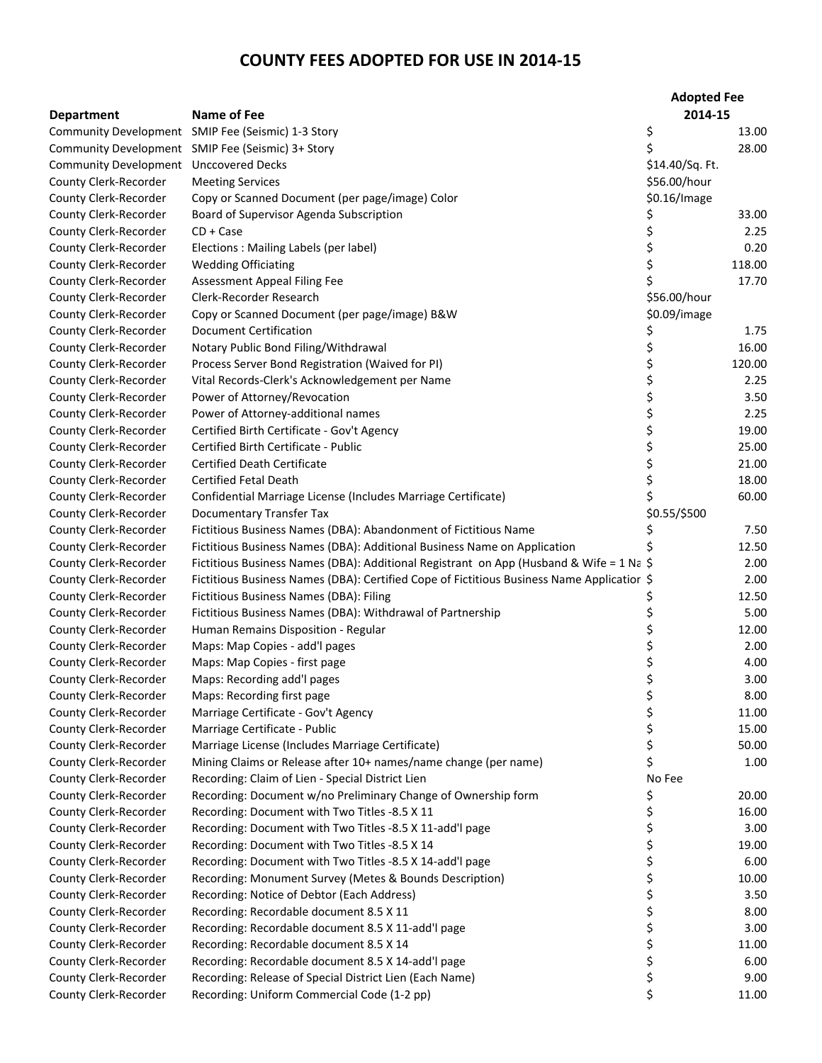|                              |                                                                                            | <b>Adopted Fee</b> |        |
|------------------------------|--------------------------------------------------------------------------------------------|--------------------|--------|
| <b>Department</b>            | <b>Name of Fee</b>                                                                         | 2014-15            |        |
|                              | Community Development SMIP Fee (Seismic) 1-3 Story                                         | \$                 | 13.00  |
|                              | Community Development SMIP Fee (Seismic) 3+ Story                                          |                    | 28.00  |
| <b>Community Development</b> | Unccovered Decks                                                                           | \$14.40/Sq. Ft.    |        |
| County Clerk-Recorder        | <b>Meeting Services</b>                                                                    | \$56.00/hour       |        |
| County Clerk-Recorder        | Copy or Scanned Document (per page/image) Color                                            | \$0.16/Image       |        |
| County Clerk-Recorder        | Board of Supervisor Agenda Subscription                                                    | \$                 | 33.00  |
| County Clerk-Recorder        | $CD + Case$                                                                                | \$                 | 2.25   |
| County Clerk-Recorder        | Elections: Mailing Labels (per label)                                                      | \$                 | 0.20   |
| County Clerk-Recorder        | <b>Wedding Officiating</b>                                                                 | \$                 | 118.00 |
| County Clerk-Recorder        | Assessment Appeal Filing Fee                                                               |                    | 17.70  |
| County Clerk-Recorder        | Clerk-Recorder Research                                                                    | \$56.00/hour       |        |
| County Clerk-Recorder        | Copy or Scanned Document (per page/image) B&W                                              | \$0.09/image       |        |
| County Clerk-Recorder        | <b>Document Certification</b>                                                              | \$                 | 1.75   |
| County Clerk-Recorder        | Notary Public Bond Filing/Withdrawal                                                       | \$                 | 16.00  |
| County Clerk-Recorder        | Process Server Bond Registration (Waived for PI)                                           | \$                 | 120.00 |
| County Clerk-Recorder        | Vital Records-Clerk's Acknowledgement per Name                                             | \$                 | 2.25   |
| County Clerk-Recorder        | Power of Attorney/Revocation                                                               | \$                 | 3.50   |
| County Clerk-Recorder        | Power of Attorney-additional names                                                         | \$                 | 2.25   |
| County Clerk-Recorder        | Certified Birth Certificate - Gov't Agency                                                 | \$                 | 19.00  |
| County Clerk-Recorder        | Certified Birth Certificate - Public                                                       | \$                 | 25.00  |
| County Clerk-Recorder        | <b>Certified Death Certificate</b>                                                         | \$                 | 21.00  |
| County Clerk-Recorder        | <b>Certified Fetal Death</b>                                                               | \$                 | 18.00  |
| County Clerk-Recorder        | Confidential Marriage License (Includes Marriage Certificate)                              | \$                 | 60.00  |
| County Clerk-Recorder        | <b>Documentary Transfer Tax</b>                                                            | \$0.55/\$500       |        |
| County Clerk-Recorder        | Fictitious Business Names (DBA): Abandonment of Fictitious Name                            |                    | 7.50   |
| County Clerk-Recorder        | Fictitious Business Names (DBA): Additional Business Name on Application                   |                    | 12.50  |
| County Clerk-Recorder        | Fictitious Business Names (DBA): Additional Registrant on App (Husband & Wife = 1 Na \$    |                    | 2.00   |
| County Clerk-Recorder        | Fictitious Business Names (DBA): Certified Cope of Fictitious Business Name Applicatior \$ |                    | 2.00   |
| County Clerk-Recorder        | Fictitious Business Names (DBA): Filing                                                    | \$                 | 12.50  |
| County Clerk-Recorder        | Fictitious Business Names (DBA): Withdrawal of Partnership                                 | \$                 | 5.00   |
| County Clerk-Recorder        | Human Remains Disposition - Regular                                                        | \$                 | 12.00  |
| County Clerk-Recorder        | Maps: Map Copies - add'l pages                                                             | \$                 | 2.00   |
| County Clerk-Recorder        | Maps: Map Copies - first page                                                              | \$                 | 4.00   |
| County Clerk-Recorder        | Maps: Recording add'l pages                                                                | \$                 | 3.00   |
| County Clerk-Recorder        | Maps: Recording first page                                                                 | \$                 | 8.00   |
| County Clerk-Recorder        | Marriage Certificate - Gov't Agency                                                        | \$                 | 11.00  |
| County Clerk-Recorder        | Marriage Certificate - Public                                                              | \$                 | 15.00  |
| County Clerk-Recorder        | Marriage License (Includes Marriage Certificate)                                           | \$                 | 50.00  |
| County Clerk-Recorder        | Mining Claims or Release after 10+ names/name change (per name)                            | \$                 | 1.00   |
| County Clerk-Recorder        | Recording: Claim of Lien - Special District Lien                                           | No Fee             |        |
| County Clerk-Recorder        | Recording: Document w/no Preliminary Change of Ownership form                              | \$                 | 20.00  |
| County Clerk-Recorder        | Recording: Document with Two Titles -8.5 X 11                                              | \$                 | 16.00  |
| County Clerk-Recorder        | Recording: Document with Two Titles -8.5 X 11-add'l page                                   | \$                 | 3.00   |
| County Clerk-Recorder        | Recording: Document with Two Titles -8.5 X 14                                              | \$                 | 19.00  |
| County Clerk-Recorder        | Recording: Document with Two Titles -8.5 X 14-add'l page                                   | \$                 | 6.00   |
| County Clerk-Recorder        | Recording: Monument Survey (Metes & Bounds Description)                                    | \$                 | 10.00  |
| County Clerk-Recorder        | Recording: Notice of Debtor (Each Address)                                                 | \$                 | 3.50   |
| County Clerk-Recorder        | Recording: Recordable document 8.5 X 11                                                    | \$                 | 8.00   |
| County Clerk-Recorder        | Recording: Recordable document 8.5 X 11-add'l page                                         | \$                 | 3.00   |
| County Clerk-Recorder        | Recording: Recordable document 8.5 X 14                                                    | \$                 | 11.00  |
| County Clerk-Recorder        | Recording: Recordable document 8.5 X 14-add'l page                                         | \$                 | 6.00   |
| County Clerk-Recorder        | Recording: Release of Special District Lien (Each Name)                                    | \$                 | 9.00   |
| County Clerk-Recorder        | Recording: Uniform Commercial Code (1-2 pp)                                                | \$                 | 11.00  |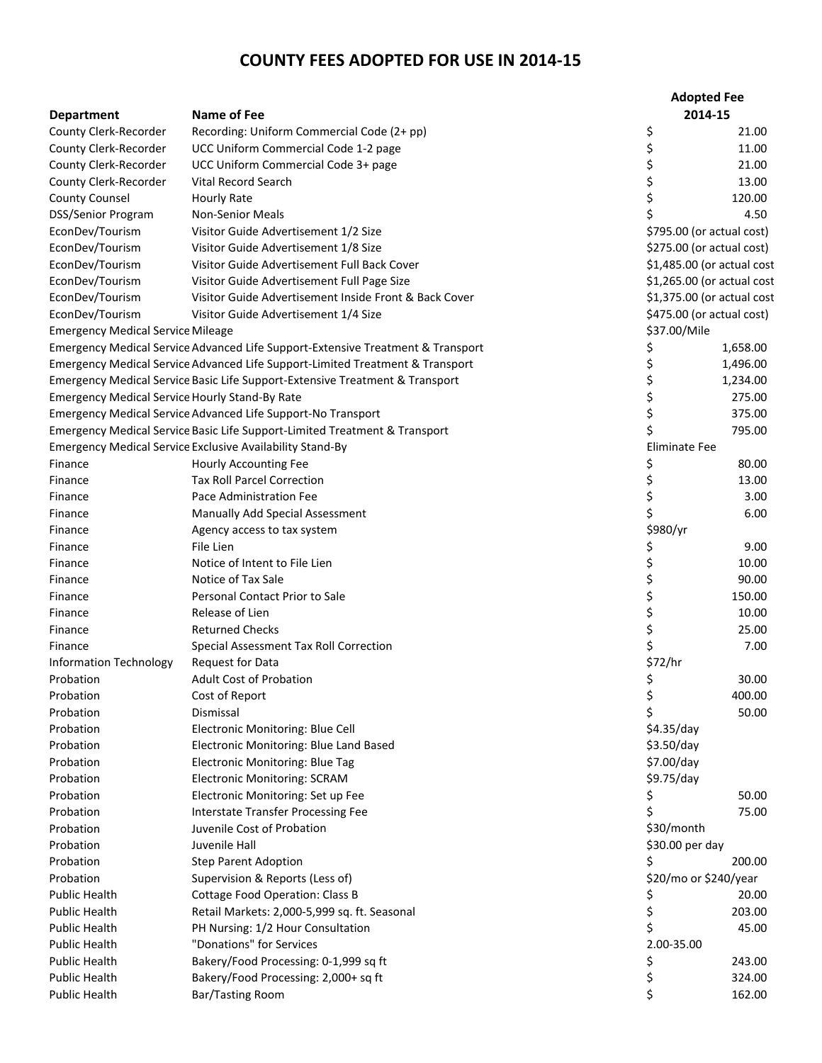|                                                       |                                                                                 | <b>Adopted Fee</b>         |          |
|-------------------------------------------------------|---------------------------------------------------------------------------------|----------------------------|----------|
| <b>Department</b>                                     | <b>Name of Fee</b>                                                              | 2014-15                    |          |
| County Clerk-Recorder                                 | Recording: Uniform Commercial Code (2+ pp)                                      | \$                         | 21.00    |
| County Clerk-Recorder                                 | UCC Uniform Commercial Code 1-2 page                                            | \$                         | 11.00    |
| County Clerk-Recorder                                 | UCC Uniform Commercial Code 3+ page                                             | \$                         | 21.00    |
| County Clerk-Recorder                                 | Vital Record Search                                                             | \$                         | 13.00    |
| <b>County Counsel</b>                                 | <b>Hourly Rate</b>                                                              | \$                         | 120.00   |
| DSS/Senior Program                                    | <b>Non-Senior Meals</b>                                                         | \$                         | 4.50     |
| EconDev/Tourism                                       | Visitor Guide Advertisement 1/2 Size                                            | \$795.00 (or actual cost)  |          |
| EconDev/Tourism                                       | Visitor Guide Advertisement 1/8 Size                                            | \$275.00 (or actual cost)  |          |
| EconDev/Tourism                                       | Visitor Guide Advertisement Full Back Cover                                     | \$1,485.00 (or actual cost |          |
| EconDev/Tourism                                       | Visitor Guide Advertisement Full Page Size                                      | \$1,265.00 (or actual cost |          |
| EconDev/Tourism                                       | Visitor Guide Advertisement Inside Front & Back Cover                           | \$1,375.00 (or actual cost |          |
| EconDev/Tourism                                       | Visitor Guide Advertisement 1/4 Size                                            | \$475.00 (or actual cost)  |          |
| <b>Emergency Medical Service Mileage</b>              |                                                                                 | \$37.00/Mile               |          |
|                                                       | Emergency Medical Service Advanced Life Support-Extensive Treatment & Transport | \$                         | 1,658.00 |
|                                                       | Emergency Medical Service Advanced Life Support-Limited Treatment & Transport   | \$                         | 1,496.00 |
|                                                       | Emergency Medical Service Basic Life Support-Extensive Treatment & Transport    | \$                         | 1,234.00 |
| <b>Emergency Medical Service Hourly Stand-By Rate</b> |                                                                                 | \$                         | 275.00   |
|                                                       | <b>Emergency Medical Service Advanced Life Support-No Transport</b>             | \$                         | 375.00   |
|                                                       | Emergency Medical Service Basic Life Support-Limited Treatment & Transport      | \$                         | 795.00   |
|                                                       | <b>Emergency Medical Service Exclusive Availability Stand-By</b>                | <b>Eliminate Fee</b>       |          |
| Finance                                               | Hourly Accounting Fee                                                           | \$                         | 80.00    |
| Finance                                               | <b>Tax Roll Parcel Correction</b>                                               | \$                         | 13.00    |
| Finance                                               | Pace Administration Fee                                                         | \$                         | 3.00     |
| Finance                                               | Manually Add Special Assessment                                                 | \$                         | 6.00     |
| Finance                                               | Agency access to tax system                                                     | \$980/yr                   |          |
| Finance                                               | File Lien                                                                       | \$                         | 9.00     |
| Finance                                               | Notice of Intent to File Lien                                                   | \$                         | 10.00    |
| Finance                                               | Notice of Tax Sale                                                              | \$                         | 90.00    |
| Finance                                               | Personal Contact Prior to Sale                                                  | \$                         | 150.00   |
| Finance                                               | Release of Lien                                                                 | \$                         | 10.00    |
| Finance                                               | <b>Returned Checks</b>                                                          | \$                         | 25.00    |
| Finance                                               | Special Assessment Tax Roll Correction                                          | \$                         | 7.00     |
| <b>Information Technology</b>                         | Request for Data                                                                | \$72/hr                    |          |
| Probation                                             | <b>Adult Cost of Probation</b>                                                  | \$                         | 30.00    |
| Probation                                             | Cost of Report                                                                  | \$                         | 400.00   |
| Probation                                             | Dismissal                                                                       | \$                         | 50.00    |
| Probation                                             | Electronic Monitoring: Blue Cell                                                | \$4.35/day                 |          |
| Probation                                             | Electronic Monitoring: Blue Land Based                                          | \$3.50/day                 |          |
| Probation                                             | <b>Electronic Monitoring: Blue Tag</b>                                          | \$7.00/day                 |          |
| Probation                                             | <b>Electronic Monitoring: SCRAM</b>                                             | \$9.75/day                 |          |
| Probation                                             | Electronic Monitoring: Set up Fee                                               | Ş                          | 50.00    |
| Probation                                             | <b>Interstate Transfer Processing Fee</b>                                       | \$                         | 75.00    |
| Probation                                             | Juvenile Cost of Probation                                                      | \$30/month                 |          |
| Probation                                             | Juvenile Hall                                                                   | \$30.00 per day            |          |
| Probation                                             | <b>Step Parent Adoption</b>                                                     | \$                         | 200.00   |
| Probation                                             | Supervision & Reports (Less of)                                                 | \$20/mo or \$240/year      |          |
| <b>Public Health</b>                                  | <b>Cottage Food Operation: Class B</b>                                          |                            | 20.00    |
| <b>Public Health</b>                                  | Retail Markets: 2,000-5,999 sq. ft. Seasonal                                    | \$                         | 203.00   |
| <b>Public Health</b>                                  | PH Nursing: 1/2 Hour Consultation                                               | \$                         | 45.00    |
| <b>Public Health</b>                                  | "Donations" for Services                                                        | 2.00-35.00                 |          |
| <b>Public Health</b>                                  | Bakery/Food Processing: 0-1,999 sq ft                                           | \$                         | 243.00   |
| <b>Public Health</b>                                  | Bakery/Food Processing: 2,000+ sq ft                                            | \$                         | 324.00   |
|                                                       |                                                                                 |                            |          |
| Public Health                                         | Bar/Tasting Room                                                                | \$                         | 162.00   |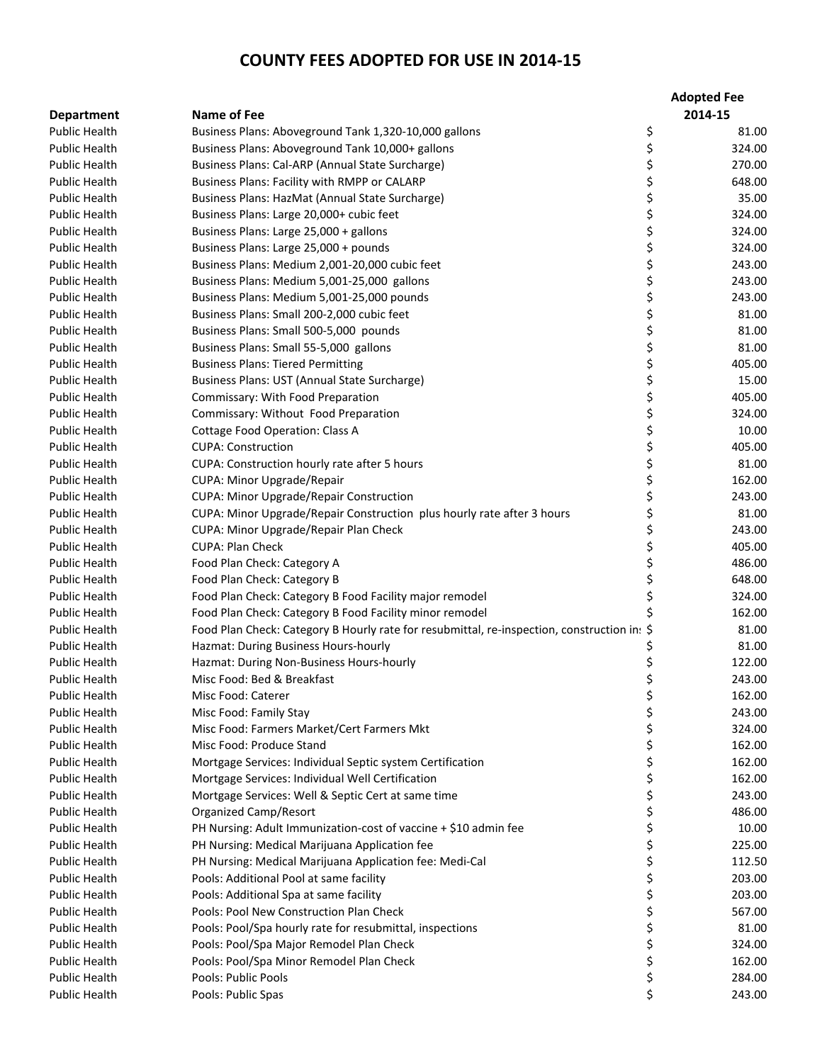|                                              |                                                                                                        | <b>Adopted Fee</b>           |
|----------------------------------------------|--------------------------------------------------------------------------------------------------------|------------------------------|
| <b>Department</b>                            | <b>Name of Fee</b>                                                                                     | 2014-15                      |
| <b>Public Health</b>                         | Business Plans: Aboveground Tank 1,320-10,000 gallons                                                  | \$<br>81.00                  |
| <b>Public Health</b>                         | Business Plans: Aboveground Tank 10,000+ gallons                                                       | \$<br>324.00                 |
| <b>Public Health</b>                         | Business Plans: Cal-ARP (Annual State Surcharge)                                                       | \$<br>270.00                 |
| <b>Public Health</b>                         | Business Plans: Facility with RMPP or CALARP                                                           | \$<br>648.00                 |
| <b>Public Health</b>                         | Business Plans: HazMat (Annual State Surcharge)                                                        | \$<br>35.00                  |
| <b>Public Health</b>                         | Business Plans: Large 20,000+ cubic feet                                                               | \$<br>324.00                 |
| <b>Public Health</b>                         | Business Plans: Large 25,000 + gallons                                                                 | \$<br>324.00                 |
| <b>Public Health</b>                         | Business Plans: Large 25,000 + pounds                                                                  | \$<br>324.00                 |
| <b>Public Health</b>                         | Business Plans: Medium 2,001-20,000 cubic feet                                                         | \$<br>243.00                 |
| <b>Public Health</b>                         | Business Plans: Medium 5,001-25,000 gallons                                                            | \$<br>243.00                 |
| <b>Public Health</b>                         | Business Plans: Medium 5,001-25,000 pounds                                                             | \$<br>243.00                 |
| <b>Public Health</b>                         | Business Plans: Small 200-2,000 cubic feet                                                             | \$<br>81.00                  |
| <b>Public Health</b>                         | Business Plans: Small 500-5,000 pounds                                                                 | \$<br>81.00                  |
| <b>Public Health</b>                         | Business Plans: Small 55-5,000 gallons                                                                 | \$<br>81.00                  |
| <b>Public Health</b>                         | <b>Business Plans: Tiered Permitting</b>                                                               | \$<br>405.00                 |
| <b>Public Health</b>                         | Business Plans: UST (Annual State Surcharge)                                                           | \$<br>15.00                  |
| <b>Public Health</b>                         | Commissary: With Food Preparation                                                                      | \$<br>405.00                 |
| <b>Public Health</b>                         | Commissary: Without Food Preparation                                                                   | \$<br>324.00                 |
| <b>Public Health</b>                         | <b>Cottage Food Operation: Class A</b>                                                                 | \$<br>10.00                  |
| <b>Public Health</b>                         | <b>CUPA: Construction</b>                                                                              | \$<br>405.00                 |
| <b>Public Health</b>                         | CUPA: Construction hourly rate after 5 hours                                                           | \$<br>81.00                  |
| <b>Public Health</b>                         | CUPA: Minor Upgrade/Repair                                                                             | \$<br>162.00                 |
| <b>Public Health</b>                         | <b>CUPA: Minor Upgrade/Repair Construction</b>                                                         | \$<br>243.00                 |
| <b>Public Health</b>                         | CUPA: Minor Upgrade/Repair Construction plus hourly rate after 3 hours                                 | \$<br>81.00                  |
| <b>Public Health</b>                         | CUPA: Minor Upgrade/Repair Plan Check                                                                  | \$<br>243.00                 |
| <b>Public Health</b>                         | <b>CUPA: Plan Check</b>                                                                                | \$<br>405.00                 |
| <b>Public Health</b>                         | Food Plan Check: Category A                                                                            | \$<br>486.00                 |
| <b>Public Health</b>                         | Food Plan Check: Category B                                                                            | \$<br>648.00                 |
| <b>Public Health</b>                         | Food Plan Check: Category B Food Facility major remodel                                                | \$<br>324.00                 |
| <b>Public Health</b>                         | Food Plan Check: Category B Food Facility minor remodel                                                | \$<br>162.00                 |
| <b>Public Health</b>                         | Food Plan Check: Category B Hourly rate for resubmittal, re-inspection, construction in: \$            | 81.00                        |
| <b>Public Health</b>                         | Hazmat: During Business Hours-hourly                                                                   | 81.00                        |
| <b>Public Health</b>                         | Hazmat: During Non-Business Hours-hourly                                                               | \$<br>122.00                 |
| <b>Public Health</b>                         | Misc Food: Bed & Breakfast                                                                             | \$<br>243.00                 |
| Public Health                                | Misc Food: Caterer                                                                                     | 162.00                       |
| <b>Public Health</b>                         |                                                                                                        | Ş.<br>\$<br>243.00           |
|                                              | Misc Food: Family Stay                                                                                 |                              |
| <b>Public Health</b><br><b>Public Health</b> | Misc Food: Farmers Market/Cert Farmers Mkt<br>Misc Food: Produce Stand                                 | \$<br>324.00<br>\$<br>162.00 |
| <b>Public Health</b>                         | Mortgage Services: Individual Septic system Certification                                              | \$<br>162.00                 |
| <b>Public Health</b>                         |                                                                                                        |                              |
| Public Health                                | Mortgage Services: Individual Well Certification<br>Mortgage Services: Well & Septic Cert at same time | \$<br>162.00<br>\$<br>243.00 |
| <b>Public Health</b>                         | Organized Camp/Resort                                                                                  | \$<br>486.00                 |
| <b>Public Health</b>                         | PH Nursing: Adult Immunization-cost of vaccine + \$10 admin fee                                        | \$<br>10.00                  |
| <b>Public Health</b>                         |                                                                                                        | \$                           |
| <b>Public Health</b>                         | PH Nursing: Medical Marijuana Application fee                                                          | 225.00                       |
| <b>Public Health</b>                         | PH Nursing: Medical Marijuana Application fee: Medi-Cal                                                | \$<br>112.50                 |
|                                              | Pools: Additional Pool at same facility                                                                | \$<br>203.00                 |
| <b>Public Health</b>                         | Pools: Additional Spa at same facility                                                                 | \$<br>203.00                 |
| <b>Public Health</b>                         | Pools: Pool New Construction Plan Check                                                                | \$<br>567.00                 |
| <b>Public Health</b>                         | Pools: Pool/Spa hourly rate for resubmittal, inspections                                               | \$<br>81.00                  |
| <b>Public Health</b>                         | Pools: Pool/Spa Major Remodel Plan Check                                                               | \$<br>324.00                 |
| <b>Public Health</b>                         | Pools: Pool/Spa Minor Remodel Plan Check                                                               | \$<br>162.00                 |
| <b>Public Health</b>                         | Pools: Public Pools                                                                                    | \$<br>284.00                 |
| <b>Public Health</b>                         | Pools: Public Spas                                                                                     | \$<br>243.00                 |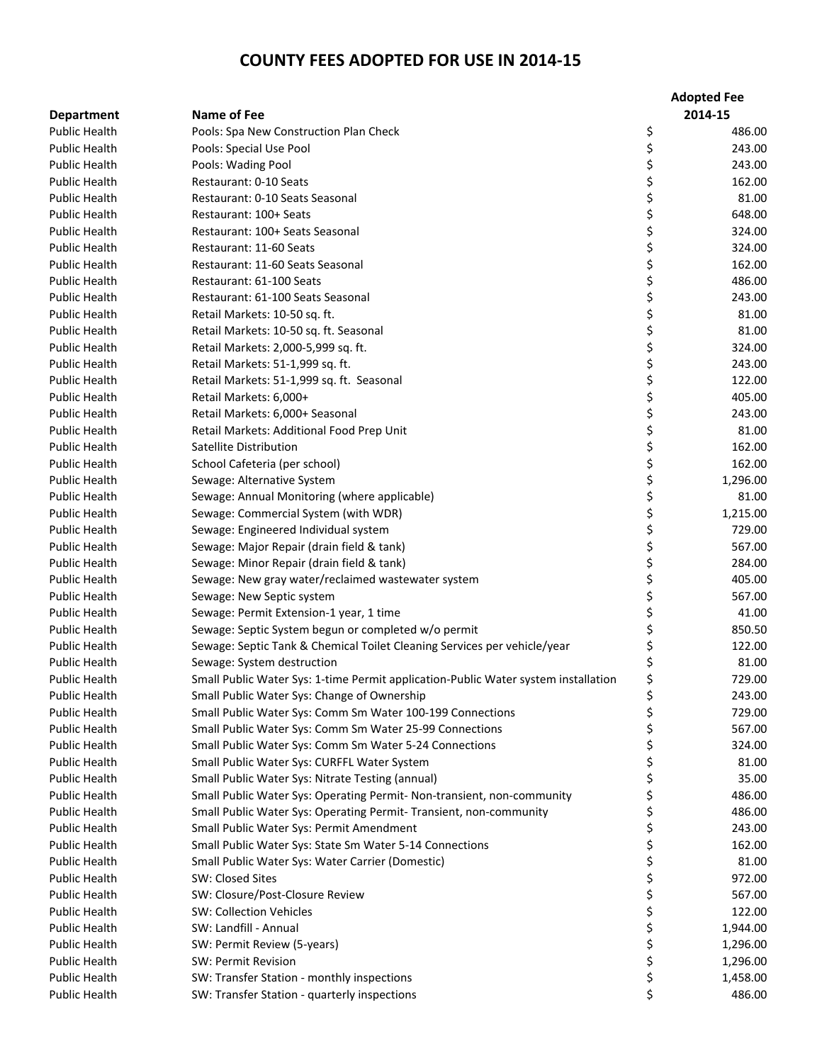|                                              |                                                                                                                  | <b>Adopted Fee</b> |
|----------------------------------------------|------------------------------------------------------------------------------------------------------------------|--------------------|
| <b>Department</b>                            | <b>Name of Fee</b>                                                                                               | 2014-15            |
| <b>Public Health</b>                         | Pools: Spa New Construction Plan Check                                                                           | \$<br>486.00       |
| <b>Public Health</b>                         | Pools: Special Use Pool                                                                                          | \$<br>243.00       |
| <b>Public Health</b>                         | Pools: Wading Pool                                                                                               | \$<br>243.00       |
| <b>Public Health</b>                         | Restaurant: 0-10 Seats                                                                                           | \$<br>162.00       |
| <b>Public Health</b>                         | Restaurant: 0-10 Seats Seasonal                                                                                  | \$<br>81.00        |
| <b>Public Health</b>                         | Restaurant: 100+ Seats                                                                                           | \$<br>648.00       |
| <b>Public Health</b>                         | Restaurant: 100+ Seats Seasonal                                                                                  | \$<br>324.00       |
| <b>Public Health</b>                         | Restaurant: 11-60 Seats                                                                                          | \$<br>324.00       |
| <b>Public Health</b>                         | Restaurant: 11-60 Seats Seasonal                                                                                 | \$<br>162.00       |
| <b>Public Health</b>                         | Restaurant: 61-100 Seats                                                                                         | \$<br>486.00       |
| <b>Public Health</b>                         | Restaurant: 61-100 Seats Seasonal                                                                                | \$<br>243.00       |
| <b>Public Health</b>                         | Retail Markets: 10-50 sq. ft.                                                                                    | \$<br>81.00        |
| <b>Public Health</b>                         | Retail Markets: 10-50 sq. ft. Seasonal                                                                           | \$<br>81.00        |
| <b>Public Health</b>                         | Retail Markets: 2,000-5,999 sq. ft.                                                                              | \$<br>324.00       |
| <b>Public Health</b>                         | Retail Markets: 51-1,999 sq. ft.                                                                                 | \$<br>243.00       |
| Public Health                                | Retail Markets: 51-1,999 sq. ft. Seasonal                                                                        | \$<br>122.00       |
| <b>Public Health</b>                         | Retail Markets: 6,000+                                                                                           | \$<br>405.00       |
| <b>Public Health</b>                         | Retail Markets: 6,000+ Seasonal                                                                                  | \$<br>243.00       |
| <b>Public Health</b>                         | Retail Markets: Additional Food Prep Unit                                                                        | \$<br>81.00        |
| <b>Public Health</b>                         | Satellite Distribution                                                                                           | \$<br>162.00       |
| <b>Public Health</b>                         | School Cafeteria (per school)                                                                                    | \$<br>162.00       |
| <b>Public Health</b>                         | Sewage: Alternative System                                                                                       | \$<br>1,296.00     |
| Public Health                                | Sewage: Annual Monitoring (where applicable)                                                                     | \$<br>81.00        |
| <b>Public Health</b>                         | Sewage: Commercial System (with WDR)                                                                             | \$<br>1,215.00     |
| <b>Public Health</b>                         | Sewage: Engineered Individual system                                                                             | \$<br>729.00       |
| <b>Public Health</b>                         | Sewage: Major Repair (drain field & tank)                                                                        | \$<br>567.00       |
| <b>Public Health</b>                         | Sewage: Minor Repair (drain field & tank)                                                                        | \$<br>284.00       |
| <b>Public Health</b>                         | Sewage: New gray water/reclaimed wastewater system                                                               | \$<br>405.00       |
| <b>Public Health</b>                         | Sewage: New Septic system                                                                                        | \$<br>567.00       |
| <b>Public Health</b>                         | Sewage: Permit Extension-1 year, 1 time                                                                          | \$<br>41.00        |
| <b>Public Health</b>                         | Sewage: Septic System begun or completed w/o permit                                                              | \$<br>850.50       |
| <b>Public Health</b>                         | Sewage: Septic Tank & Chemical Toilet Cleaning Services per vehicle/year                                         | 122.00             |
| <b>Public Health</b>                         |                                                                                                                  |                    |
| <b>Public Health</b>                         | Sewage: System destruction<br>Small Public Water Sys: 1-time Permit application-Public Water system installation | 81.00<br>729.00    |
|                                              |                                                                                                                  | \$                 |
| Public Health                                | Small Public Water Sys: Change of Ownership                                                                      | \$<br>243.00       |
| <b>Public Health</b>                         | Small Public Water Sys: Comm Sm Water 100-199 Connections                                                        | \$<br>729.00       |
| <b>Public Health</b><br><b>Public Health</b> | Small Public Water Sys: Comm Sm Water 25-99 Connections                                                          | \$<br>567.00       |
|                                              | Small Public Water Sys: Comm Sm Water 5-24 Connections                                                           | \$<br>324.00       |
| <b>Public Health</b>                         | Small Public Water Sys: CURFFL Water System                                                                      | \$<br>81.00        |
| <b>Public Health</b>                         | Small Public Water Sys: Nitrate Testing (annual)                                                                 | \$<br>35.00        |
| Public Health<br><b>Public Health</b>        | Small Public Water Sys: Operating Permit- Non-transient, non-community                                           | \$<br>486.00       |
|                                              | Small Public Water Sys: Operating Permit- Transient, non-community                                               | \$<br>486.00       |
| Public Health                                | Small Public Water Sys: Permit Amendment                                                                         | \$<br>243.00       |
| <b>Public Health</b>                         | Small Public Water Sys: State Sm Water 5-14 Connections                                                          | \$<br>162.00       |
| <b>Public Health</b>                         | Small Public Water Sys: Water Carrier (Domestic)                                                                 | \$<br>81.00        |
| <b>Public Health</b>                         | SW: Closed Sites                                                                                                 | \$<br>972.00       |
| <b>Public Health</b>                         | SW: Closure/Post-Closure Review                                                                                  | \$<br>567.00       |
| <b>Public Health</b>                         | <b>SW: Collection Vehicles</b>                                                                                   | \$<br>122.00       |
| <b>Public Health</b>                         | SW: Landfill - Annual                                                                                            | \$<br>1,944.00     |
| <b>Public Health</b>                         | SW: Permit Review (5-years)                                                                                      | \$<br>1,296.00     |
| <b>Public Health</b>                         | SW: Permit Revision                                                                                              | \$<br>1,296.00     |
| <b>Public Health</b>                         | SW: Transfer Station - monthly inspections                                                                       | \$<br>1,458.00     |
| Public Health                                | SW: Transfer Station - quarterly inspections                                                                     | \$<br>486.00       |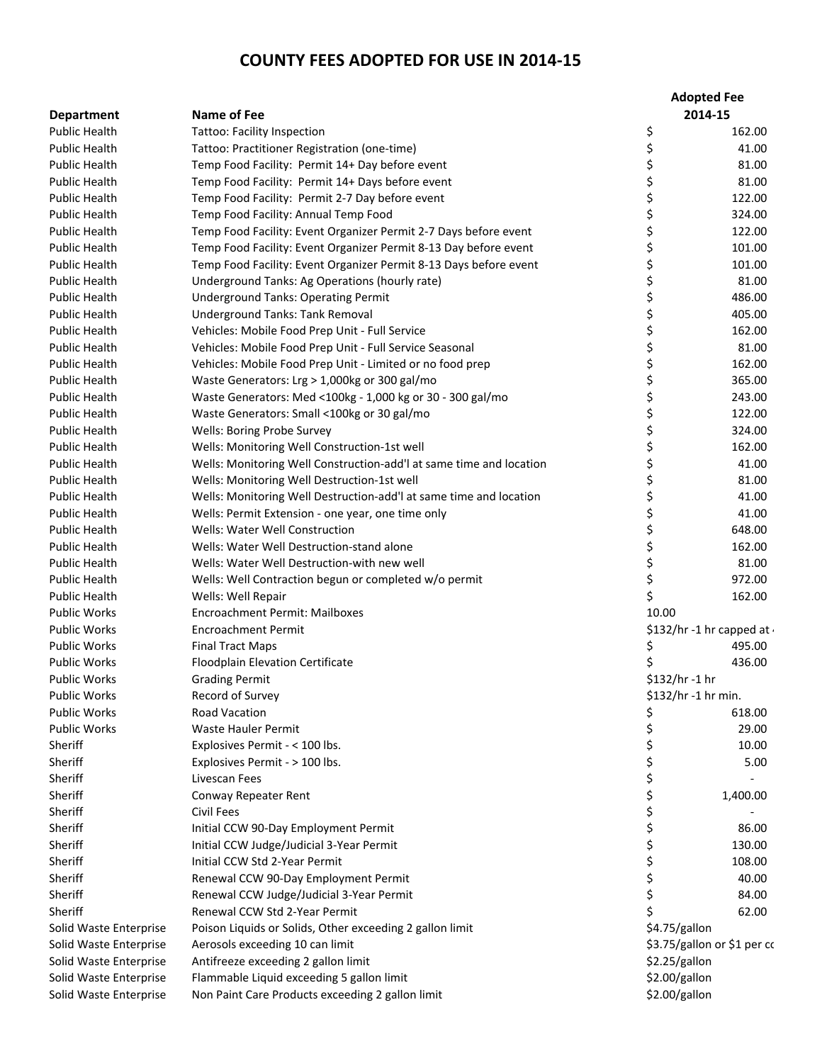|                        |                                                                     | <b>Adopted Fee</b> |                                  |
|------------------------|---------------------------------------------------------------------|--------------------|----------------------------------|
| <b>Department</b>      | Name of Fee                                                         |                    | 2014-15                          |
| <b>Public Health</b>   | <b>Tattoo: Facility Inspection</b>                                  | \$                 | 162.00                           |
| <b>Public Health</b>   | Tattoo: Practitioner Registration (one-time)                        | \$                 | 41.00                            |
| <b>Public Health</b>   | Temp Food Facility: Permit 14+ Day before event                     | \$                 | 81.00                            |
| <b>Public Health</b>   | Temp Food Facility: Permit 14+ Days before event                    | \$                 | 81.00                            |
| <b>Public Health</b>   | Temp Food Facility: Permit 2-7 Day before event                     | \$                 | 122.00                           |
| <b>Public Health</b>   | Temp Food Facility: Annual Temp Food                                | \$                 | 324.00                           |
| Public Health          | Temp Food Facility: Event Organizer Permit 2-7 Days before event    | \$                 | 122.00                           |
| <b>Public Health</b>   | Temp Food Facility: Event Organizer Permit 8-13 Day before event    | \$                 | 101.00                           |
| <b>Public Health</b>   | Temp Food Facility: Event Organizer Permit 8-13 Days before event   | \$                 | 101.00                           |
| Public Health          | Underground Tanks: Ag Operations (hourly rate)                      | \$                 | 81.00                            |
| <b>Public Health</b>   | <b>Underground Tanks: Operating Permit</b>                          | \$                 | 486.00                           |
| <b>Public Health</b>   | Underground Tanks: Tank Removal                                     | \$                 | 405.00                           |
| <b>Public Health</b>   | Vehicles: Mobile Food Prep Unit - Full Service                      | \$                 | 162.00                           |
| <b>Public Health</b>   | Vehicles: Mobile Food Prep Unit - Full Service Seasonal             | \$                 | 81.00                            |
| <b>Public Health</b>   | Vehicles: Mobile Food Prep Unit - Limited or no food prep           | \$                 | 162.00                           |
| Public Health          | Waste Generators: Lrg > 1,000kg or 300 gal/mo                       | \$                 | 365.00                           |
| <b>Public Health</b>   | Waste Generators: Med <100kg - 1,000 kg or 30 - 300 gal/mo          | \$                 | 243.00                           |
| <b>Public Health</b>   | Waste Generators: Small <100kg or 30 gal/mo                         | \$                 | 122.00                           |
| <b>Public Health</b>   | Wells: Boring Probe Survey                                          | \$                 | 324.00                           |
| <b>Public Health</b>   | Wells: Monitoring Well Construction-1st well                        | \$                 | 162.00                           |
| Public Health          | Wells: Monitoring Well Construction-add'l at same time and location | \$                 | 41.00                            |
| <b>Public Health</b>   | Wells: Monitoring Well Destruction-1st well                         | \$                 | 81.00                            |
| <b>Public Health</b>   | Wells: Monitoring Well Destruction-add'l at same time and location  | \$                 | 41.00                            |
| Public Health          | Wells: Permit Extension - one year, one time only                   | \$                 | 41.00                            |
| <b>Public Health</b>   | Wells: Water Well Construction                                      | \$                 | 648.00                           |
| <b>Public Health</b>   | Wells: Water Well Destruction-stand alone                           | \$                 | 162.00                           |
| Public Health          | Wells: Water Well Destruction-with new well                         | \$                 | 81.00                            |
| <b>Public Health</b>   | Wells: Well Contraction begun or completed w/o permit               | \$                 | 972.00                           |
| <b>Public Health</b>   | Wells: Well Repair                                                  | \$                 | 162.00                           |
| <b>Public Works</b>    | <b>Encroachment Permit: Mailboxes</b>                               | 10.00              |                                  |
| <b>Public Works</b>    | <b>Encroachment Permit</b>                                          |                    | \$132/hr -1 hr capped at $\cdot$ |
| <b>Public Works</b>    | <b>Final Tract Maps</b>                                             | \$                 | 495.00                           |
| <b>Public Works</b>    | Floodplain Elevation Certificate                                    |                    | 436.00                           |
| <b>Public Works</b>    |                                                                     | $$132/hr - 1 hr$   |                                  |
| Public Works           | <b>Grading Permit</b><br>Record of Survey                           |                    | \$132/hr -1 hr min.              |
| <b>Public Works</b>    | <b>Road Vacation</b>                                                |                    | 618.00                           |
|                        | Waste Hauler Permit                                                 | \$<br>\$           |                                  |
| <b>Public Works</b>    |                                                                     |                    | 29.00                            |
| Sheriff                | Explosives Permit - < 100 lbs.                                      | \$                 | 10.00                            |
| Sheriff                | Explosives Permit - > 100 lbs.                                      | \$                 | 5.00                             |
| Sheriff                | Livescan Fees                                                       | \$                 |                                  |
| Sheriff                | Conway Repeater Rent                                                | \$                 | 1,400.00                         |
| Sheriff                | Civil Fees                                                          | \$                 |                                  |
| Sheriff                | Initial CCW 90-Day Employment Permit                                | \$                 | 86.00                            |
| Sheriff                | Initial CCW Judge/Judicial 3-Year Permit                            | \$                 | 130.00                           |
| Sheriff                | Initial CCW Std 2-Year Permit                                       | \$                 | 108.00                           |
| Sheriff                | Renewal CCW 90-Day Employment Permit                                | \$                 | 40.00                            |
| Sheriff                | Renewal CCW Judge/Judicial 3-Year Permit                            | \$                 | 84.00                            |
| Sheriff                | Renewal CCW Std 2-Year Permit                                       | Ś                  | 62.00                            |
| Solid Waste Enterprise | Poison Liquids or Solids, Other exceeding 2 gallon limit            | \$4.75/gallon      |                                  |
| Solid Waste Enterprise | Aerosols exceeding 10 can limit                                     |                    | \$3.75/gallon or \$1 per cc      |
| Solid Waste Enterprise | Antifreeze exceeding 2 gallon limit                                 | \$2.25/gallon      |                                  |
| Solid Waste Enterprise | Flammable Liquid exceeding 5 gallon limit                           | \$2.00/gallon      |                                  |
| Solid Waste Enterprise | Non Paint Care Products exceeding 2 gallon limit                    | \$2.00/gallon      |                                  |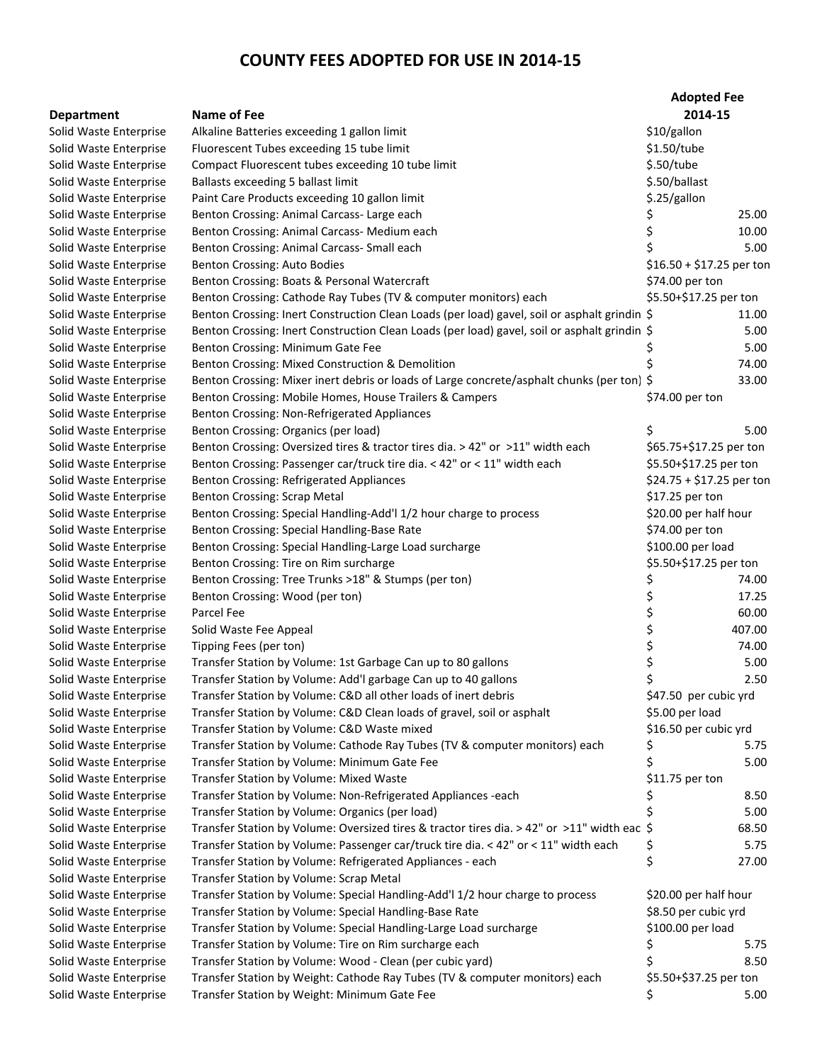|                        |                                                                                              | <b>Adopted Fee</b>        |        |
|------------------------|----------------------------------------------------------------------------------------------|---------------------------|--------|
| <b>Department</b>      | Name of Fee                                                                                  | 2014-15                   |        |
| Solid Waste Enterprise | Alkaline Batteries exceeding 1 gallon limit                                                  | \$10/gallon               |        |
| Solid Waste Enterprise | Fluorescent Tubes exceeding 15 tube limit                                                    | \$1.50/tube               |        |
| Solid Waste Enterprise | Compact Fluorescent tubes exceeding 10 tube limit                                            | \$.50/tube                |        |
| Solid Waste Enterprise | Ballasts exceeding 5 ballast limit                                                           | \$.50/ballast             |        |
| Solid Waste Enterprise | Paint Care Products exceeding 10 gallon limit                                                | \$.25/gallon              |        |
| Solid Waste Enterprise | Benton Crossing: Animal Carcass- Large each                                                  | Ş                         | 25.00  |
| Solid Waste Enterprise | Benton Crossing: Animal Carcass- Medium each                                                 | \$                        | 10.00  |
| Solid Waste Enterprise | Benton Crossing: Animal Carcass- Small each                                                  | \$                        | 5.00   |
| Solid Waste Enterprise | Benton Crossing: Auto Bodies                                                                 | $$16.50 + $17.25$ per ton |        |
| Solid Waste Enterprise | Benton Crossing: Boats & Personal Watercraft                                                 | \$74.00 per ton           |        |
| Solid Waste Enterprise | Benton Crossing: Cathode Ray Tubes (TV & computer monitors) each                             | \$5.50+\$17.25 per ton    |        |
| Solid Waste Enterprise | Benton Crossing: Inert Construction Clean Loads (per load) gavel, soil or asphalt grindin \$ |                           | 11.00  |
| Solid Waste Enterprise | Benton Crossing: Inert Construction Clean Loads (per load) gavel, soil or asphalt grindin \$ |                           | 5.00   |
| Solid Waste Enterprise | Benton Crossing: Minimum Gate Fee                                                            | Ş                         | 5.00   |
| Solid Waste Enterprise | Benton Crossing: Mixed Construction & Demolition                                             |                           | 74.00  |
| Solid Waste Enterprise | Benton Crossing: Mixer inert debris or loads of Large concrete/asphalt chunks (per ton) \$   |                           | 33.00  |
| Solid Waste Enterprise | Benton Crossing: Mobile Homes, House Trailers & Campers                                      | \$74.00 per ton           |        |
| Solid Waste Enterprise | Benton Crossing: Non-Refrigerated Appliances                                                 |                           |        |
| Solid Waste Enterprise | Benton Crossing: Organics (per load)                                                         | \$                        | 5.00   |
| Solid Waste Enterprise | Benton Crossing: Oversized tires & tractor tires dia. > 42" or >11" width each               | \$65.75+\$17.25 per ton   |        |
| Solid Waste Enterprise | Benton Crossing: Passenger car/truck tire dia. < 42" or < 11" width each                     | \$5.50+\$17.25 per ton    |        |
| Solid Waste Enterprise | <b>Benton Crossing: Refrigerated Appliances</b>                                              | \$24.75 + \$17.25 per ton |        |
| Solid Waste Enterprise | <b>Benton Crossing: Scrap Metal</b>                                                          | \$17.25 per ton           |        |
| Solid Waste Enterprise | Benton Crossing: Special Handling-Add'l 1/2 hour charge to process                           | \$20.00 per half hour     |        |
| Solid Waste Enterprise | Benton Crossing: Special Handling-Base Rate                                                  | \$74.00 per ton           |        |
| Solid Waste Enterprise | Benton Crossing: Special Handling-Large Load surcharge                                       | \$100.00 per load         |        |
| Solid Waste Enterprise | Benton Crossing: Tire on Rim surcharge                                                       | \$5.50+\$17.25 per ton    |        |
| Solid Waste Enterprise | Benton Crossing: Tree Trunks >18" & Stumps (per ton)                                         | Ş                         | 74.00  |
| Solid Waste Enterprise | Benton Crossing: Wood (per ton)                                                              | \$                        | 17.25  |
| Solid Waste Enterprise | Parcel Fee                                                                                   | \$                        | 60.00  |
| Solid Waste Enterprise | Solid Waste Fee Appeal                                                                       | \$                        | 407.00 |
| Solid Waste Enterprise | Tipping Fees (per ton)                                                                       | \$                        | 74.00  |
| Solid Waste Enterprise | Transfer Station by Volume: 1st Garbage Can up to 80 gallons                                 | \$                        | 5.00   |
| Solid Waste Enterprise | Transfer Station by Volume: Add'I garbage Can up to 40 gallons                               | \$                        | 2.50   |
| Solid Waste Enterprise | Transfer Station by Volume: C&D all other loads of inert debris                              | \$47.50 per cubic yrd     |        |
| Solid Waste Enterprise | Transfer Station by Volume: C&D Clean loads of gravel, soil or asphalt                       | \$5.00 per load           |        |
| Solid Waste Enterprise | Transfer Station by Volume: C&D Waste mixed                                                  | \$16.50 per cubic yrd     |        |
| Solid Waste Enterprise | Transfer Station by Volume: Cathode Ray Tubes (TV & computer monitors) each                  | Ş                         | 5.75   |
| Solid Waste Enterprise | Transfer Station by Volume: Minimum Gate Fee                                                 | \$                        | 5.00   |
| Solid Waste Enterprise | Transfer Station by Volume: Mixed Waste                                                      | $$11.75$ per ton          |        |
| Solid Waste Enterprise | Transfer Station by Volume: Non-Refrigerated Appliances -each                                |                           | 8.50   |
| Solid Waste Enterprise | Transfer Station by Volume: Organics (per load)                                              |                           | 5.00   |
| Solid Waste Enterprise | Transfer Station by Volume: Oversized tires & tractor tires dia. > 42" or >11" width eac \$  |                           | 68.50  |
| Solid Waste Enterprise | Transfer Station by Volume: Passenger car/truck tire dia. < 42" or < 11" width each          | \$,                       | 5.75   |
| Solid Waste Enterprise | Transfer Station by Volume: Refrigerated Appliances - each                                   | \$                        | 27.00  |
| Solid Waste Enterprise | Transfer Station by Volume: Scrap Metal                                                      |                           |        |
| Solid Waste Enterprise | Transfer Station by Volume: Special Handling-Add'l 1/2 hour charge to process                | \$20.00 per half hour     |        |
|                        |                                                                                              |                           |        |
| Solid Waste Enterprise | Transfer Station by Volume: Special Handling-Base Rate                                       | \$8.50 per cubic yrd      |        |
| Solid Waste Enterprise | Transfer Station by Volume: Special Handling-Large Load surcharge                            | \$100.00 per load         |        |
| Solid Waste Enterprise | Transfer Station by Volume: Tire on Rim surcharge each                                       | Ş                         | 5.75   |
| Solid Waste Enterprise | Transfer Station by Volume: Wood - Clean (per cubic yard)                                    | Ś                         | 8.50   |
| Solid Waste Enterprise | Transfer Station by Weight: Cathode Ray Tubes (TV & computer monitors) each                  | \$5.50+\$37.25 per ton    |        |
| Solid Waste Enterprise | Transfer Station by Weight: Minimum Gate Fee                                                 | \$                        | 5.00   |